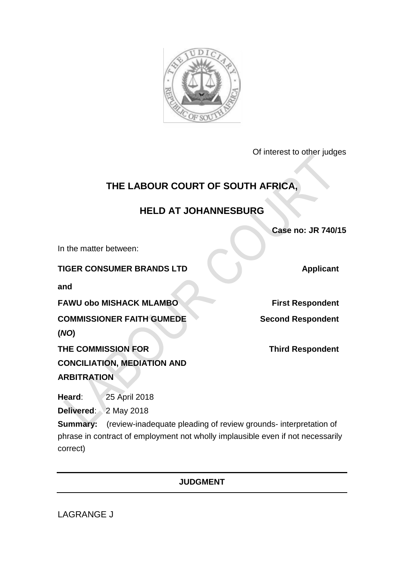

Of interest to other judges

# **THE LABOUR COURT OF SOUTH AFRICA,**

## **HELD AT JOHANNESBURG**

**Case no: JR 740/15**

In the matter between:

**TIGER CONSUMER BRANDS LTD Applicant** 

**and**

**FAWU obo MISHACK MLAMBO First Respondent** 

**COMMISSIONER FAITH GUMEDE** 

**(***NO***)**

**THE COMMISSION FOR** 

**CONCILIATION, MEDIATION AND ARBITRATION**

**Heard**: 25 April 2018

**Delivered**: 2 May 2018

**Summary:** (review-inadequate pleading of review grounds- interpretation of phrase in contract of employment not wholly implausible even if not necessarily correct)

### **JUDGMENT**

LAGRANGE J

**Second Respondent**

**Third Respondent**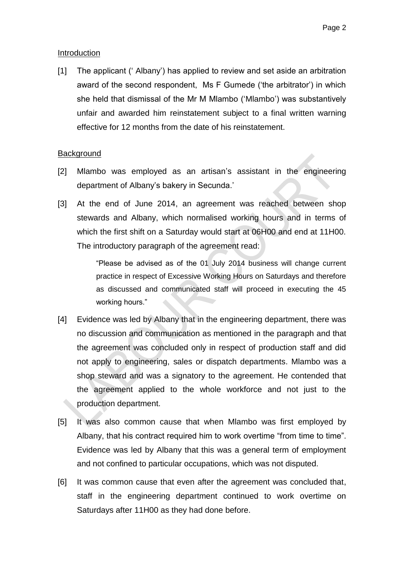#### **Introduction**

[1] The applicant (' Albany') has applied to review and set aside an arbitration award of the second respondent, Ms F Gumede ('the arbitrator') in which she held that dismissal of the Mr M Mlambo ('Mlambo') was substantively unfair and awarded him reinstatement subject to a final written warning effective for 12 months from the date of his reinstatement.

#### **Background**

- [2] Mlambo was employed as an artisan's assistant in the engineering department of Albany's bakery in Secunda.'
- [3] At the end of June 2014, an agreement was reached between shop stewards and Albany, which normalised working hours and in terms of which the first shift on a Saturday would start at 06H00 and end at 11H00. The introductory paragraph of the agreement read:

"Please be advised as of the 01 July 2014 business will change current practice in respect of Excessive Working Hours on Saturdays and therefore as discussed and communicated staff will proceed in executing the 45 working hours."

- [4] Evidence was led by Albany that in the engineering department, there was no discussion and communication as mentioned in the paragraph and that the agreement was concluded only in respect of production staff and did not apply to engineering, sales or dispatch departments. Mlambo was a shop steward and was a signatory to the agreement. He contended that the agreement applied to the whole workforce and not just to the production department.
- [5] It was also common cause that when Mlambo was first employed by Albany, that his contract required him to work overtime "from time to time". Evidence was led by Albany that this was a general term of employment and not confined to particular occupations, which was not disputed.
- [6] It was common cause that even after the agreement was concluded that, staff in the engineering department continued to work overtime on Saturdays after 11H00 as they had done before.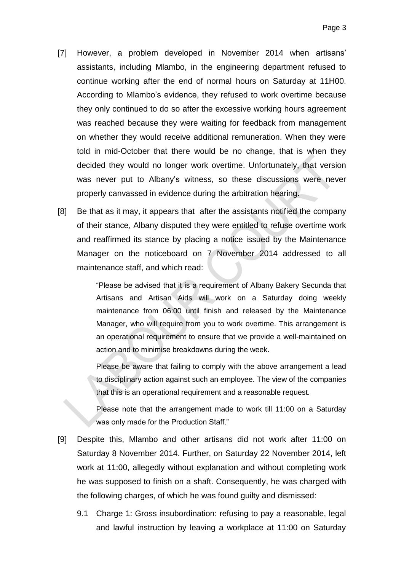- [7] However, a problem developed in November 2014 when artisans' assistants, including Mlambo, in the engineering department refused to continue working after the end of normal hours on Saturday at 11H00. According to Mlambo's evidence, they refused to work overtime because they only continued to do so after the excessive working hours agreement was reached because they were waiting for feedback from management on whether they would receive additional remuneration. When they were told in mid-October that there would be no change, that is when they decided they would no longer work overtime. Unfortunately, that version was never put to Albany's witness, so these discussions were never properly canvassed in evidence during the arbitration hearing.
- [8] Be that as it may, it appears that after the assistants notified the company of their stance, Albany disputed they were entitled to refuse overtime work and reaffirmed its stance by placing a notice issued by the Maintenance Manager on the noticeboard on 7 November 2014 addressed to all maintenance staff, and which read:

"Please be advised that it is a requirement of Albany Bakery Secunda that Artisans and Artisan Aids will work on a Saturday doing weekly maintenance from 06:00 until finish and released by the Maintenance Manager, who will require from you to work overtime. This arrangement is an operational requirement to ensure that we provide a well-maintained on action and to minimise breakdowns during the week.

Please be aware that failing to comply with the above arrangement a lead to disciplinary action against such an employee. The view of the companies that this is an operational requirement and a reasonable request.

Please note that the arrangement made to work till 11:00 on a Saturday was only made for the Production Staff."

- [9] Despite this, Mlambo and other artisans did not work after 11:00 on Saturday 8 November 2014. Further, on Saturday 22 November 2014, left work at 11:00, allegedly without explanation and without completing work he was supposed to finish on a shaft. Consequently, he was charged with the following charges, of which he was found guilty and dismissed:
	- 9.1 Charge 1: Gross insubordination: refusing to pay a reasonable, legal and lawful instruction by leaving a workplace at 11:00 on Saturday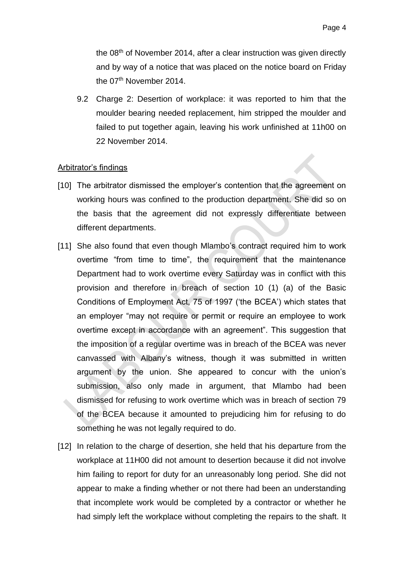the 08<sup>th</sup> of November 2014, after a clear instruction was given directly and by way of a notice that was placed on the notice board on Friday the 07<sup>th</sup> November 2014.

9.2 Charge 2: Desertion of workplace: it was reported to him that the moulder bearing needed replacement, him stripped the moulder and failed to put together again, leaving his work unfinished at 11h00 on 22 November 2014.

#### Arbitrator's findings

- [10] The arbitrator dismissed the employer's contention that the agreement on working hours was confined to the production department. She did so on the basis that the agreement did not expressly differentiate between different departments.
- [11] She also found that even though Mlambo's contract required him to work overtime "from time to time", the requirement that the maintenance Department had to work overtime every Saturday was in conflict with this provision and therefore in breach of section 10 (1) (a) of the Basic Conditions of Employment Act, 75 of 1997 ('the BCEA') which states that an employer "may not require or permit or require an employee to work overtime except in accordance with an agreement". This suggestion that the imposition of a regular overtime was in breach of the BCEA was never canvassed with Albany's witness, though it was submitted in written argument by the union. She appeared to concur with the union's submission, also only made in argument, that Mlambo had been dismissed for refusing to work overtime which was in breach of section 79 of the BCEA because it amounted to prejudicing him for refusing to do something he was not legally required to do.
- [12] In relation to the charge of desertion, she held that his departure from the workplace at 11H00 did not amount to desertion because it did not involve him failing to report for duty for an unreasonably long period. She did not appear to make a finding whether or not there had been an understanding that incomplete work would be completed by a contractor or whether he had simply left the workplace without completing the repairs to the shaft. It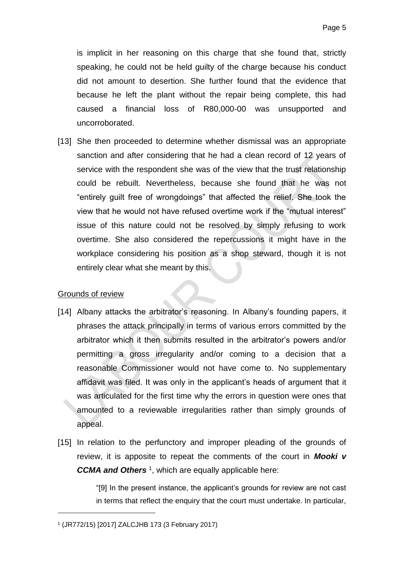is implicit in her reasoning on this charge that she found that, strictly speaking, he could not be held guilty of the charge because his conduct did not amount to desertion. She further found that the evidence that because he left the plant without the repair being complete, this had caused a financial loss of R80,000-00 was unsupported and uncorroborated.

[13] She then proceeded to determine whether dismissal was an appropriate sanction and after considering that he had a clean record of 12 years of service with the respondent she was of the view that the trust relationship could be rebuilt. Nevertheless, because she found that he was not "entirely guilt free of wrongdoings" that affected the relief. She took the view that he would not have refused overtime work if the "mutual interest" issue of this nature could not be resolved by simply refusing to work overtime. She also considered the repercussions it might have in the workplace considering his position as a shop steward, though it is not entirely clear what she meant by this.

### Grounds of review

1

- [14] Albany attacks the arbitrator's reasoning. In Albany's founding papers, it phrases the attack principally in terms of various errors committed by the arbitrator which it then submits resulted in the arbitrator's powers and/or permitting a gross irregularity and/or coming to a decision that a reasonable Commissioner would not have come to. No supplementary affidavit was filed. It was only in the applicant's heads of argument that it was articulated for the first time why the errors in question were ones that amounted to a reviewable irregularities rather than simply grounds of appeal.
- [15] In relation to the perfunctory and improper pleading of the grounds of review, it is apposite to repeat the comments of the court in *Mooki v*  **CCMA and Others**<sup>1</sup>, which are equally applicable here:

"[9] In the present instance, the applicant's grounds for review are not cast in terms that reflect the enquiry that the court must undertake. In particular,

<sup>1</sup> (JR772/15) [2017] ZALCJHB 173 (3 February 2017)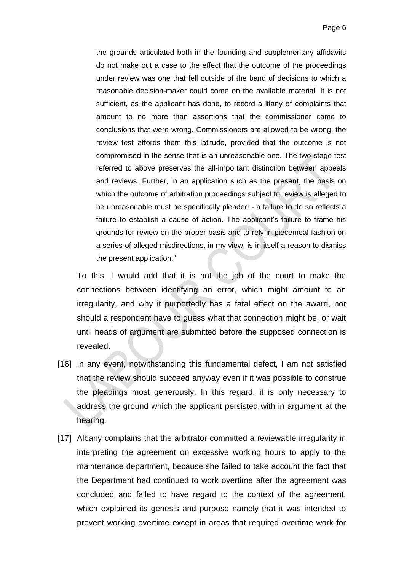the grounds articulated both in the founding and supplementary affidavits do not make out a case to the effect that the outcome of the proceedings under review was one that fell outside of the band of decisions to which a reasonable decision-maker could come on the available material. It is not sufficient, as the applicant has done, to record a litany of complaints that amount to no more than assertions that the commissioner came to conclusions that were wrong. Commissioners are allowed to be wrong; the review test affords them this latitude, provided that the outcome is not compromised in the sense that is an unreasonable one. The two-stage test referred to above preserves the all-important distinction between appeals and reviews. Further, in an application such as the present, the basis on which the outcome of arbitration proceedings subject to review is alleged to be unreasonable must be specifically pleaded - a failure to do so reflects a failure to establish a cause of action. The applicant's failure to frame his grounds for review on the proper basis and to rely in piecemeal fashion on a series of alleged misdirections, in my view, is in itself a reason to dismiss the present application."

To this, I would add that it is not the job of the court to make the connections between identifying an error, which might amount to an irregularity, and why it purportedly has a fatal effect on the award, nor should a respondent have to guess what that connection might be, or wait until heads of argument are submitted before the supposed connection is revealed.

- [16] In any event, notwithstanding this fundamental defect, I am not satisfied that the review should succeed anyway even if it was possible to construe the pleadings most generously. In this regard, it is only necessary to address the ground which the applicant persisted with in argument at the hearing.
- [17] Albany complains that the arbitrator committed a reviewable irregularity in interpreting the agreement on excessive working hours to apply to the maintenance department, because she failed to take account the fact that the Department had continued to work overtime after the agreement was concluded and failed to have regard to the context of the agreement, which explained its genesis and purpose namely that it was intended to prevent working overtime except in areas that required overtime work for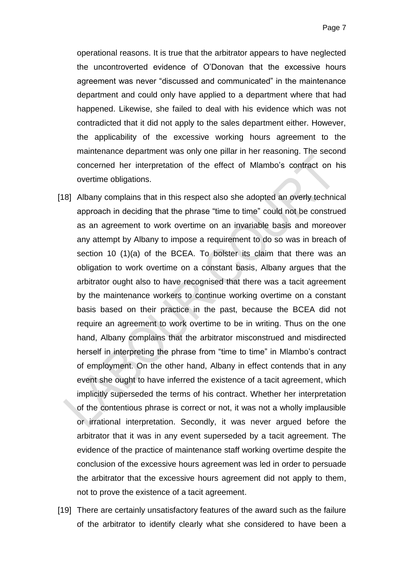operational reasons. It is true that the arbitrator appears to have neglected the uncontroverted evidence of O'Donovan that the excessive hours agreement was never "discussed and communicated" in the maintenance department and could only have applied to a department where that had happened. Likewise, she failed to deal with his evidence which was not contradicted that it did not apply to the sales department either. However, the applicability of the excessive working hours agreement to the maintenance department was only one pillar in her reasoning. The second concerned her interpretation of the effect of Mlambo's contract on his overtime obligations.

- [18] Albany complains that in this respect also she adopted an overly technical approach in deciding that the phrase "time to time" could not be construed as an agreement to work overtime on an invariable basis and moreover any attempt by Albany to impose a requirement to do so was in breach of section 10 (1)(a) of the BCEA. To bolster its claim that there was an obligation to work overtime on a constant basis, Albany argues that the arbitrator ought also to have recognised that there was a tacit agreement by the maintenance workers to continue working overtime on a constant basis based on their practice in the past, because the BCEA did not require an agreement to work overtime to be in writing. Thus on the one hand, Albany complains that the arbitrator misconstrued and misdirected herself in interpreting the phrase from "time to time" in Mlambo's contract of employment. On the other hand, Albany in effect contends that in any event she ought to have inferred the existence of a tacit agreement, which implicitly superseded the terms of his contract. Whether her interpretation of the contentious phrase is correct or not, it was not a wholly implausible or irrational interpretation. Secondly, it was never argued before the arbitrator that it was in any event superseded by a tacit agreement. The evidence of the practice of maintenance staff working overtime despite the conclusion of the excessive hours agreement was led in order to persuade the arbitrator that the excessive hours agreement did not apply to them, not to prove the existence of a tacit agreement.
- [19] There are certainly unsatisfactory features of the award such as the failure of the arbitrator to identify clearly what she considered to have been a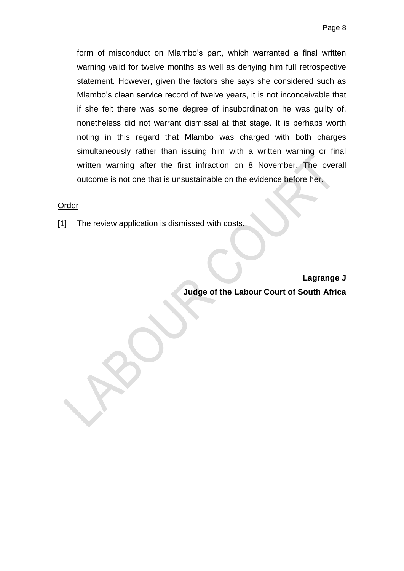form of misconduct on Mlambo's part, which warranted a final written warning valid for twelve months as well as denying him full retrospective statement. However, given the factors she says she considered such as Mlambo's clean service record of twelve years, it is not inconceivable that if she felt there was some degree of insubordination he was guilty of, nonetheless did not warrant dismissal at that stage. It is perhaps worth noting in this regard that Mlambo was charged with both charges simultaneously rather than issuing him with a written warning or final written warning after the first infraction on 8 November. The overall outcome is not one that is unsustainable on the evidence before her.

#### Order

[1] The review application is dismissed with costs.

**Lagrange J Judge of the Labour Court of South Africa** 

**\_\_\_\_\_\_\_\_\_\_\_\_\_\_\_\_\_\_\_\_\_\_\_**